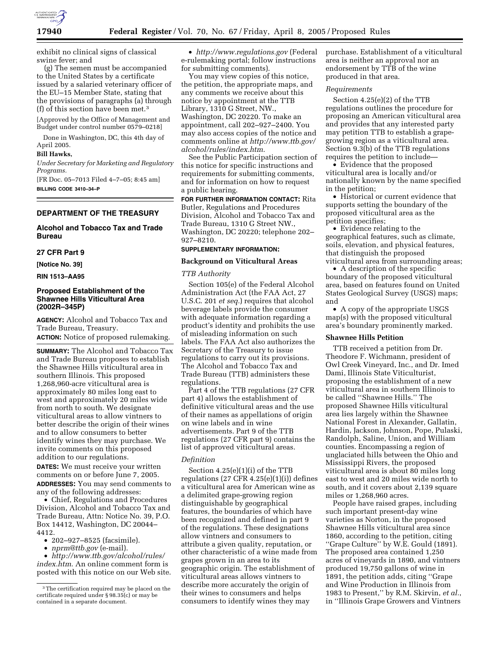

exhibit no clinical signs of classical swine fever; and

(g) The semen must be accompanied to the United States by a certificate issued by a salaried veterinary officer of the EU–15 Member State, stating that the provisions of paragraphs (a) through (f) of this section have been met.3

[Approved by the Office of Management and Budget under control number 0579–0218]

Done in Washington, DC, this 4th day of April 2005.

# **Bill Hawks,**

*Under Secretary for Marketing and Regulatory Programs.*

[FR Doc. 05–7013 Filed 4–7–05; 8:45 am] **BILLING CODE 3410–34–P**

## **DEPARTMENT OF THE TREASURY**

# **Alcohol and Tobacco Tax and Trade Bureau**

# **27 CFR Part 9**

**[Notice No. 39]** 

**RIN 1513–AA95** 

# **Proposed Establishment of the Shawnee Hills Viticultural Area (2002R–345P)**

**AGENCY:** Alcohol and Tobacco Tax and Trade Bureau, Treasury.

**ACTION:** Notice of proposed rulemaking.

**SUMMARY:** The Alcohol and Tobacco Tax and Trade Bureau proposes to establish the Shawnee Hills viticultural area in southern Illinois. This proposed 1,268,960-acre viticultural area is approximately 80 miles long east to west and approximately 20 miles wide from north to south. We designate viticultural areas to allow vintners to better describe the origin of their wines and to allow consumers to better identify wines they may purchase. We invite comments on this proposed addition to our regulations.

**DATES:** We must receive your written comments on or before June 7, 2005. **ADDRESSES:** You may send comments to any of the following addresses:

• Chief, Regulations and Procedures Division, Alcohol and Tobacco Tax and Trade Bureau, Attn: Notice No. 39, P.O. Box 14412, Washington, DC 20044– 4412.

- 202–927–8525 (facsimile).
- *nprm@ttb.gov* (e-mail).

• *http://www.ttb.gov/alcohol/rules/ index.htm*. An online comment form is posted with this notice on our Web site.

• *http://www.regulations.gov* (Federal e-rulemaking portal; follow instructions for submitting comments).

You may view copies of this notice, the petition, the appropriate maps, and any comments we receive about this notice by appointment at the TTB Library, 1310 G Street, NW., Washington, DC 20220. To make an appointment, call 202–927–2400. You may also access copies of the notice and comments online at *http://www.ttb.gov/ alcohol/rules/index.htm*.

See the Public Participation section of this notice for specific instructions and requirements for submitting comments, and for information on how to request a public hearing.

**FOR FURTHER INFORMATION CONTACT:** Rita Butler, Regulations and Procedures Division, Alcohol and Tobacco Tax and Trade Bureau, 1310 G Street NW., Washington, DC 20220; telephone 202– 927–8210.

### **SUPPLEMENTARY INFORMATION:**

### **Background on Viticultural Areas**

### *TTB Authority*

Section 105(e) of the Federal Alcohol Administration Act (the FAA Act, 27 U.S.C. 201 *et seq.*) requires that alcohol beverage labels provide the consumer with adequate information regarding a product's identity and prohibits the use of misleading information on such labels. The FAA Act also authorizes the Secretary of the Treasury to issue regulations to carry out its provisions. The Alcohol and Tobacco Tax and Trade Bureau (TTB) administers these regulations.

Part 4 of the TTB regulations (27 CFR part 4) allows the establishment of definitive viticultural areas and the use of their names as appellations of origin on wine labels and in wine advertisements. Part 9 of the TTB regulations (27 CFR part 9) contains the list of approved viticultural areas.

#### *Definition*

Section 4.25(e)(1)(i) of the TTB regulations  $(27 \text{ CFR } 4.25(e)(1)(i))$  defines a viticultural area for American wine as a delimited grape-growing region distinguishable by geographical features, the boundaries of which have been recognized and defined in part 9 of the regulations. These designations allow vintners and consumers to attribute a given quality, reputation, or other characteristic of a wine made from grapes grown in an area to its geographic origin. The establishment of viticultural areas allows vintners to describe more accurately the origin of their wines to consumers and helps consumers to identify wines they may

purchase. Establishment of a viticultural area is neither an approval nor an endorsement by TTB of the wine produced in that area.

### *Requirements*

Section 4.25(e)(2) of the TTB regulations outlines the procedure for proposing an American viticultural area and provides that any interested party may petition TTB to establish a grapegrowing region as a viticultural area. Section 9.3(b) of the TTB regulations requires the petition to include—

• Evidence that the proposed viticultural area is locally and/or nationally known by the name specified in the petition;

• Historical or current evidence that supports setting the boundary of the proposed viticultural area as the petition specifies;

• Evidence relating to the geographical features, such as climate, soils, elevation, and physical features, that distinguish the proposed viticultural area from surrounding areas;

• A description of the specific boundary of the proposed viticultural area, based on features found on United States Geological Survey (USGS) maps; and

• A copy of the appropriate USGS map(s) with the proposed viticultural area's boundary prominently marked.

#### **Shawnee Hills Petition**

TTB received a petition from Dr. Theodore F. Wichmann, president of Owl Creek Vineyard, Inc., and Dr. Imed Dami, Illinois State Viticulturist, proposing the establishment of a new viticultural area in southern Illinois to be called ''Shawnee Hills.'' The proposed Shawnee Hills viticultural area lies largely within the Shawnee National Forest in Alexander, Gallatin, Hardin, Jackson, Johnson, Pope, Pulaski, Randolph, Saline, Union, and William counties. Encompassing a region of unglaciated hills between the Ohio and Mississippi Rivers, the proposed viticultural area is about 80 miles long east to west and 20 miles wide north to south, and it covers about 2,139 square miles or 1,268,960 acres.

People have raised grapes, including such important present-day wine varieties as Norton, in the proposed Shawnee Hills viticultural area since 1860, according to the petition, citing ''Grape Culture'' by W.E. Gould (1891). The proposed area contained 1,250 acres of vineyards in 1890, and vintners produced 19,750 gallons of wine in 1891, the petition adds, citing ''Grape and Wine Production in Illinois from 1983 to Present,'' by R.M. Skirvin, *et al.*, in ''Illinois Grape Growers and Vintners

<sup>&</sup>lt;sup>3</sup>The certification required may be placed on the certificate required under § 98.35(c) or may be contained in a separate document.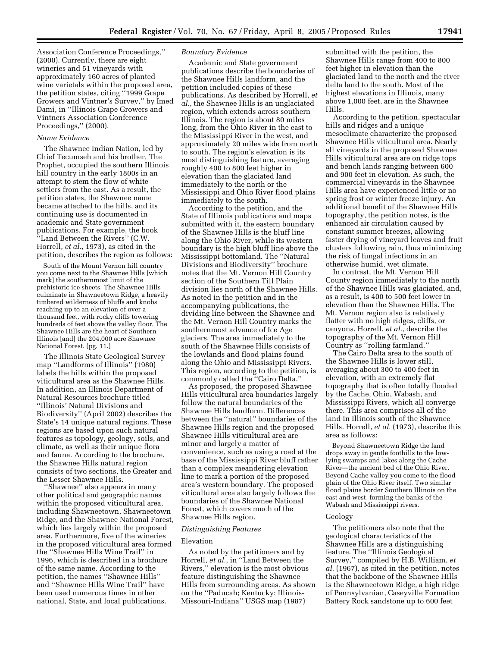Association Conference Proceedings,'' (2000). Currently, there are eight wineries and 51 vineyards with approximately 160 acres of planted wine varietals within the proposed area, the petition states, citing ''1999 Grape Growers and Vintner's Survey,'' by Imed Dami, in ''Illinois Grape Growers and Vintners Association Conference Proceedings,'' (2000).

### *Name Evidence*

The Shawnee Indian Nation, led by Chief Tecumseh and his brother, The Prophet, occupied the southern Illinois hill country in the early 1800s in an attempt to stem the flow of white settlers from the east. As a result, the petition states, the Shawnee name became attached to the hills, and its continuing use is documented in academic and State government publications. For example, the book ''Land Between the Rivers'' (C.W. Horrell, *et al.*, 1973), as cited in the petition, describes the region as follows:

South of the Mount Vernon hill country you come next to the Shawnee Hills [which mark] the southernmost limit of the prehistoric ice sheets. The Shawnee Hills culminate in Shawneetown Ridge, a heavily timbered wilderness of bluffs and knobs reaching up to an elevation of over a thousand feet, with rocky cliffs towering hundreds of feet above the valley floor. The Shawnee Hills are the heart of Southern Illinois [and] the 204,000 acre Shawnee National Forest. (pg. 11.)

The Illinois State Geological Survey map ''Landforms of Illinois'' (1980) labels the hills within the proposed viticultural area as the Shawnee Hills. In addition, an Illinois Department of Natural Resources brochure titled ''Illinois' Natural Divisions and Biodiversity'' (April 2002) describes the State's 14 unique natural regions. These regions are based upon such natural features as topology, geology, soils, and climate, as well as their unique flora and fauna. According to the brochure, the Shawnee Hills natural region consists of two sections, the Greater and the Lesser Shawnee Hills.

''Shawnee'' also appears in many other political and geographic names within the proposed viticultural area, including Shawneetown, Shawneetown Ridge, and the Shawnee National Forest, which lies largely within the proposed area. Furthermore, five of the wineries in the proposed viticultural area formed the ''Shawnee Hills Wine Trail'' in 1996, which is described in a brochure of the same name. According to the petition, the names ''Shawnee Hills'' and ''Shawnee Hills Wine Trail'' have been used numerous times in other national, State, and local publications.

### *Boundary Evidence*

Academic and State government publications describe the boundaries of the Shawnee Hills landform, and the petition included copies of these publications. As described by Horrell, *et al.*, the Shawnee Hills is an unglaciated region, which extends across southern Illinois. The region is about 80 miles long, from the Ohio River in the east to the Mississippi River in the west, and approximately 20 miles wide from north to south. The region's elevation is its most distinguishing feature, averaging roughly 400 to 800 feet higher in elevation than the glaciated land immediately to the north or the Mississippi and Ohio River flood plains immediately to the south.

According to the petition, and the State of Illinois publications and maps submitted with it, the eastern boundary of the Shawnee Hills is the bluff line along the Ohio River, while its western boundary is the high bluff line above the Mississippi bottomland. The ''Natural Divisions and Biodiversity'' brochure notes that the Mt. Vernon Hill Country section of the Southern Till Plain division lies north of the Shawnee Hills. As noted in the petition and in the accompanying publications, the dividing line between the Shawnee and the Mt. Vernon Hill Country marks the southernmost advance of Ice Age glaciers. The area immediately to the south of the Shawnee Hills consists of the lowlands and flood plains found along the Ohio and Mississippi Rivers. This region, according to the petition, is commonly called the ''Cairo Delta.''

As proposed, the proposed Shawnee Hills viticultural area boundaries largely follow the natural boundaries of the Shawnee Hills landform. Differences between the ''natural'' boundaries of the Shawnee Hills region and the proposed Shawnee Hills viticultural area are minor and largely a matter of convenience, such as using a road at the base of the Mississippi River bluff rather than a complex meandering elevation line to mark a portion of the proposed area's western boundary. The proposed viticultural area also largely follows the boundaries of the Shawnee National Forest, which covers much of the Shawnee Hills region.

### *Distinguishing Features*

#### Elevation

As noted by the petitioners and by Horrell, *et al.*, in ''Land Between the Rivers,'' elevation is the most obvious feature distinguishing the Shawnee Hills from surrounding areas. As shown on the ''Paducah; Kentucky: Illinois-Missouri-Indiana'' USGS map (1987)

submitted with the petition, the Shawnee Hills range from 400 to 800 feet higher in elevation than the glaciated land to the north and the river delta land to the south. Most of the highest elevations in Illinois, many above 1,000 feet, are in the Shawnee Hills.

According to the petition, spectacular hills and ridges and a unique mesoclimate characterize the proposed Shawnee Hills viticultural area. Nearly all vineyards in the proposed Shawnee Hills viticultural area are on ridge tops and bench lands ranging between 600 and 900 feet in elevation. As such, the commercial vineyards in the Shawnee Hills area have experienced little or no spring frost or winter freeze injury. An additional benefit of the Shawnee Hills topography, the petition notes, is the enhanced air circulation caused by constant summer breezes, allowing faster drying of vineyard leaves and fruit clusters following rain, thus minimizing the risk of fungal infections in an otherwise humid, wet climate.

In contrast, the Mt. Vernon Hill County region immediately to the north of the Shawnee Hills was glaciated, and, as a result, is 400 to 500 feet lower in elevation than the Shawnee Hills. The Mt. Vernon region also is relatively flatter with no high ridges, cliffs, or canyons. Horrell, *et al.*, describe the topography of the Mt. Vernon Hill Country as ''rolling farmland.''

The Cairo Delta area to the south of the Shawnee Hills is lower still, averaging about 300 to 400 feet in elevation, with an extremely flat topography that is often totally flooded by the Cache, Ohio, Wabash, and Mississippi Rivers, which all converge there. This area comprises all of the land in Illinois south of the Shawnee Hills. Horrell, *et al.* (1973), describe this area as follows:

Beyond Shawneetown Ridge the land drops away in gentle foothills to the lowlying swamps and lakes along the Cache River—the ancient bed of the Ohio River. Beyond Cache valley you come to the flood plain of the Ohio River itself. Two similar flood plains border Southern Illinois on the east and west, forming the banks of the Wabash and Mississippi rivers.

#### Geology

The petitioners also note that the geological characteristics of the Shawnee Hills are a distinguishing feature. The ''Illinois Geological Survey,'' compiled by H.B. William, *et al.* (1967), as cited in the petition, notes that the backbone of the Shawnee Hills is the Shawneetown Ridge, a high ridge of Pennsylvanian, Caseyville Formation Battery Rock sandstone up to 600 feet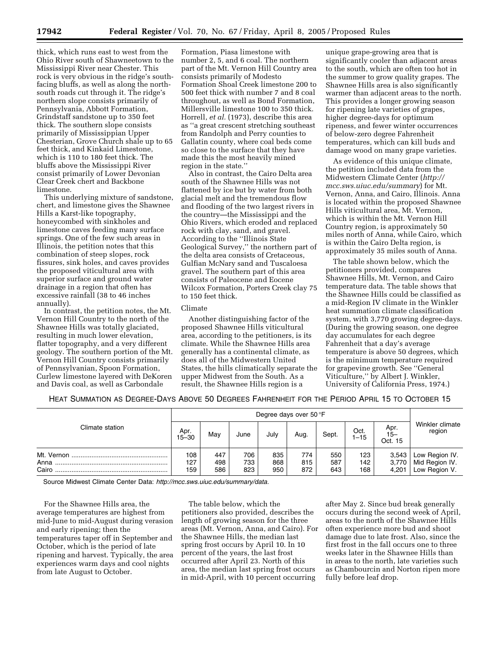thick, which runs east to west from the Ohio River south of Shawneetown to the Mississippi River near Chester. This rock is very obvious in the ridge's southfacing bluffs, as well as along the northsouth roads cut through it. The ridge's northern slope consists primarily of Pennsylvania, Abbott Formation, Grindstaff sandstone up to 350 feet thick. The southern slope consists primarily of Mississippian Upper Chesterian, Grove Church shale up to 65 feet thick, and Kinkaid Limestone, which is 110 to 180 feet thick. The bluffs above the Mississippi River consist primarily of Lower Devonian Clear Creek chert and Backbone limestone.

This underlying mixture of sandstone, chert, and limestone gives the Shawnee Hills a Karst-like topography, honeycombed with sinkholes and limestone caves feeding many surface springs. One of the few such areas in Illinois, the petition notes that this combination of steep slopes, rock fissures, sink holes, and caves provides the proposed viticultural area with superior surface and ground water drainage in a region that often has excessive rainfall (38 to 46 inches annually).

In contrast, the petition notes, the Mt. Vernon Hill Country to the north of the Shawnee Hills was totally glaciated, resulting in much lower elevation, flatter topography, and a very different geology. The southern portion of the Mt. Vernon Hill Country consists primarily of Pennsylvanian, Spoon Formation, Curlew limestone layered with DeKoren and Davis coal, as well as Carbondale

Formation, Piasa limestone with number 2, 5, and 6 coal. The northern part of the Mt. Vernon Hill Country area consists primarily of Modesto Formation Shoal Creek limestone 200 to 500 feet thick with number 7 and 8 coal throughout, as well as Bond Formation, Millersville limestone 100 to 350 thick. Horrell, *et al.* (1973), describe this area as ''a great crescent stretching southeast from Randolph and Perry counties to Gallatin county, where coal beds come so close to the surface that they have made this the most heavily mined region in the state.''

Also in contrast, the Cairo Delta area south of the Shawnee Hills was not flattened by ice but by water from both glacial melt and the tremendous flow and flooding of the two largest rivers in the country—the Mississippi and the Ohio Rivers, which eroded and replaced rock with clay, sand, and gravel. According to the ''Illinois State Geological Survey,'' the northern part of the delta area consists of Cretaceous, Gulfian McNary sand and Tuscaloesa gravel. The southern part of this area consists of Paleocene and Eocene Wilcox Formation, Porters Creek clay 75 to 150 feet thick.

# Climate

Another distinguishing factor of the proposed Shawnee Hills viticultural area, according to the petitioners, is its climate. While the Shawnee Hills area generally has a continental climate, as does all of the Midwestern United States, the hills climatically separate the upper Midwest from the South. As a result, the Shawnee Hills region is a

unique grape-growing area that is significantly cooler than adjacent areas to the south, which are often too hot in the summer to grow quality grapes. The Shawnee Hills area is also significantly warmer than adjacent areas to the north. This provides a longer growing season for ripening late varieties of grapes, higher degree-days for optimum ripeness, and fewer winter occurrences of below-zero degree Fahrenheit temperatures, which can kill buds and damage wood on many grape varieties.

As evidence of this unique climate, the petition included data from the Midwestern Climate Center (*http:// mcc.sws.uiuc.edu/summary*) for Mt. Vernon, Anna, and Cairo, Illinois. Anna is located within the proposed Shawnee Hills viticultural area, Mt. Vernon, which is within the Mt. Vernon Hill Country region, is approximately 50 miles north of Anna, while Cairo, which is within the Cairo Delta region, is approximately 35 miles south of Anna.

The table shown below, which the petitioners provided, compares Shawnee Hills, Mt. Vernon, and Cairo temperature data. The table shows that the Shawnee Hills could be classified as a mid-Region IV climate in the Winkler heat summation climate classification system, with 3,770 growing degree-days. (During the growing season, one degree day accumulates for each degree Fahrenheit that a day's average temperature is above 50 degrees, which is the minimum temperature required for grapevine growth. See ''General Viticulture,'' by Albert J. Winkler, University of California Press, 1974.)

HEAT SUMMATION AS DEGREE-DAYS ABOVE 50 DEGREES FAHRENHEIT FOR THE PERIOD APRIL 15 TO OCTOBER 15

| Climate station | Degree days over 50 °F |                   |                   |                   |                   |                   |                   |                           |                                                   |
|-----------------|------------------------|-------------------|-------------------|-------------------|-------------------|-------------------|-------------------|---------------------------|---------------------------------------------------|
|                 | Apr.<br>15–30          | May               | June              | July              | Aug.              | Sept.             | Oct.<br>$-15$     | Apr.<br>$15 -$<br>Oct. 15 | Winkler climate<br>region                         |
| Anna<br>Cairo   | 108<br>127<br>159      | 447<br>498<br>586 | 706<br>733<br>823 | 835<br>868<br>950 | 774<br>815<br>872 | 550<br>587<br>643 | 123<br>142<br>168 | 3,543<br>3,770<br>4,201   | Low Region IV.<br>Mid Region IV.<br>Low Region V. |

Source Midwest Climate Center Data: *http://mcc.sws.uiuc.edu/summary/data.*

For the Shawnee Hills area, the average temperatures are highest from mid-June to mid-August during verasion and early ripening; then the temperatures taper off in September and October, which is the period of late ripening and harvest. Typically, the area experiences warm days and cool nights from late August to October.

The table below, which the petitioners also provided, describes the length of growing season for the three areas (Mt. Vernon, Anna, and Cairo). For the Shawnee Hills, the median last spring frost occurs by April 10. In 10 percent of the years, the last frost occurred after April 23. North of this area, the median last spring frost occurs in mid-April, with 10 percent occurring

after May 2. Since bud break generally occurs during the second week of April, areas to the north of the Shawnee Hills often experience more bud and shoot damage due to late frost. Also, since the first frost in the fall occurs one to three weeks later in the Shawnee Hills than in areas to the north, late varieties such as Chambourcin and Norton ripen more fully before leaf drop.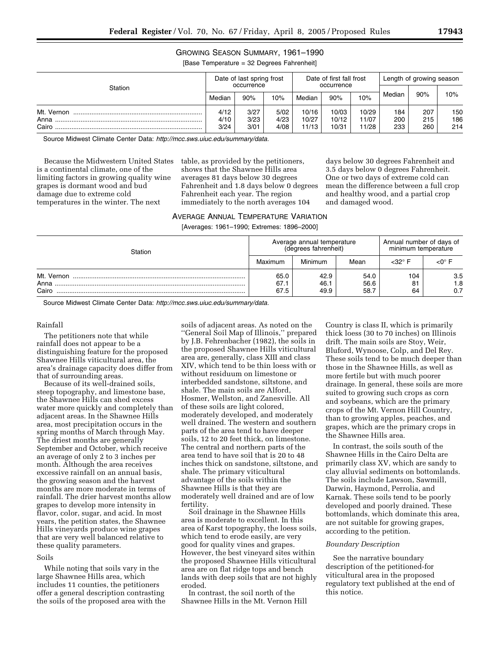# GROWING SEASON SUMMARY, 1961–1990

[Base Temperature = 32 Degrees Fahrenheit]

| Station       | Date of last spring frost<br>occurrence |              |              | Date of first fall frost<br>occurrence |                |                | Length of growing season |            |            |
|---------------|-----------------------------------------|--------------|--------------|----------------------------------------|----------------|----------------|--------------------------|------------|------------|
|               | Median                                  | 90%          | 10%          | Median                                 | 90%            | 10%            | Median                   | 90%        | 10%        |
| Mt. Vernon    | 4/12                                    | 3/27         | 5/02         | 10/16                                  | 10/03          | 10/29          | 184                      | 207        | 150        |
| Anna<br>Cairo | 4/10<br>3/24                            | 3/23<br>3/01 | 4/23<br>4/08 | 10/27<br>11/13                         | 10/12<br>10/31 | 11/07<br>11/28 | 200<br>233               | 215<br>260 | 186<br>214 |

Source Midwest Climate Center Data: *http://mcc.sws.uiuc.edu/summary/data.*

Because the Midwestern United States is a continental climate, one of the limiting factors in growing quality wine grapes is dormant wood and bud damage due to extreme cold temperatures in the winter. The next

table, as provided by the petitioners, shows that the Shawnee Hills area averages 81 days below 30 degrees Fahrenheit and 1.8 days below 0 degrees Fahrenheit each year. The region immediately to the north averages 104

days below 30 degrees Fahrenheit and 3.5 days below 0 degrees Fahrenheit. One or two days of extreme cold can mean the difference between a full crop and healthy wood, and a partial crop and damaged wood.

# AVERAGE ANNUAL TEMPERATURE VARIATION

[Averages: 1961–1990; Extremes: 1896–2000]

| Station                     |                      | Average annual temperature<br>(degrees fahrenheit) | Annual number of days of<br>minimum temperature |                 |                   |
|-----------------------------|----------------------|----------------------------------------------------|-------------------------------------------------|-----------------|-------------------|
|                             | Maximum              | Minimum                                            | Mean                                            | <32° F          |                   |
| Mt. Vernon<br>Anna<br>Cairo | 65.0<br>67.1<br>67.5 | 42.9<br>46.1<br>49.9                               | 54.0<br>56.6<br>58.7                            | 104<br>81<br>64 | 3.5<br>1.8<br>0.7 |

Source Midwest Climate Center Data: *http://mcc.sws.uiuc.edu/summary/data.*

## Rainfall

The petitioners note that while rainfall does not appear to be a distinguishing feature for the proposed Shawnee Hills viticultural area, the area's drainage capacity does differ from that of surrounding areas.

Because of its well-drained soils, steep topography, and limestone base, the Shawnee Hills can shed excess water more quickly and completely than adjacent areas. In the Shawnee Hills area, most precipitation occurs in the spring months of March through May. The driest months are generally September and October, which receive an average of only 2 to 3 inches per month. Although the area receives excessive rainfall on an annual basis, the growing season and the harvest months are more moderate in terms of rainfall. The drier harvest months allow grapes to develop more intensity in flavor, color, sugar, and acid. In most years, the petition states, the Shawnee Hills vineyards produce wine grapes that are very well balanced relative to these quality parameters.

# Soils

While noting that soils vary in the large Shawnee Hills area, which includes 11 counties, the petitioners offer a general description contrasting the soils of the proposed area with the

soils of adjacent areas. As noted on the ''General Soil Map of Illinois,'' prepared by J.B. Fehrenbacher (1982), the soils in the proposed Shawnee Hills viticultural area are, generally, class XIII and class XIV, which tend to be thin loess with or without residuum on limestone or interbedded sandstone, siltstone, and shale. The main soils are Alford, Hosmer, Wellston, and Zanesville. All of these soils are light colored, moderately developed, and moderately well drained. The western and southern parts of the area tend to have deeper soils, 12 to 20 feet thick, on limestone. The central and northern parts of the area tend to have soil that is 20 to 48 inches thick on sandstone, siltstone, and shale. The primary viticultural advantage of the soils within the Shawnee Hills is that they are moderately well drained and are of low fertility.

Soil drainage in the Shawnee Hills area is moderate to excellent. In this area of Karst topography, the loess soils, which tend to erode easily, are very good for quality vines and grapes. However, the best vineyard sites within the proposed Shawnee Hills viticultural area are on flat ridge tops and bench lands with deep soils that are not highly eroded.

In contrast, the soil north of the Shawnee Hills in the Mt. Vernon Hill

Country is class II, which is primarily thick loess (30 to 70 inches) on Illinois drift. The main soils are Stoy, Weir, Bluford, Wynoose, Colp, and Del Rey. These soils tend to be much deeper than those in the Shawnee Hills, as well as more fertile but with much poorer drainage. In general, these soils are more suited to growing such crops as corn and soybeans, which are the primary crops of the Mt. Vernon Hill Country, than to growing apples, peaches, and grapes, which are the primary crops in the Shawnee Hills area.

In contrast, the soils south of the Shawnee Hills in the Cairo Delta are primarily class XV, which are sandy to clay alluvial sediments on bottomlands. The soils include Lawson, Sawmill, Darwin, Haymond, Perrolia, and Karnak. These soils tend to be poorly developed and poorly drained. These bottomlands, which dominate this area, are not suitable for growing grapes, according to the petition.

### *Boundary Description*

See the narrative boundary description of the petitioned-for viticultural area in the proposed regulatory text published at the end of this notice.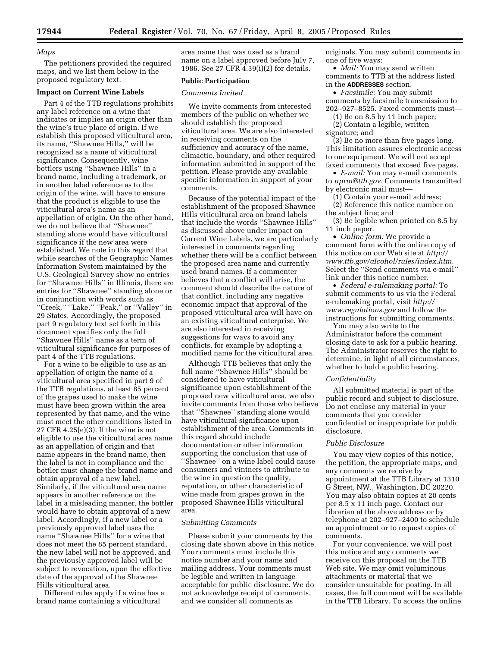### *Maps*

The petitioners provided the required maps, and we list them below in the proposed regulatory text.

#### **Impact on Current Wine Labels**

Part 4 of the TTB regulations prohibits any label reference on a wine that indicates or implies an origin other than the wine's true place of origin. If we establish this proposed viticultural area, its name, ''Shawnee Hills,'' will be recognized as a name of viticultural significance. Consequently, wine bottlers using ''Shawnee Hills'' in a brand name, including a trademark, or in another label reference as to the origin of the wine, will have to ensure that the product is eligible to use the viticultural area's name as an appellation of origin. On the other hand, we do not believe that ''Shawnee'' standing alone would have viticultural significance if the new area were established. We note in this regard that while searches of the Geographic Names Information System maintained by the U.S. Geological Survey show no entries for ''Shawnee Hills'' in Illinois, there are entries for ''Shawnee'' standing alone or in conjunction with words such as ''Creek,'' ''Lake,'' ''Peak,'' or ''Valley'' in 29 States. Accordingly, the proposed part 9 regulatory text set forth in this document specifies only the full ''Shawnee Hills'' name as a term of viticultural significance for purposes of part 4 of the TTB regulations.

For a wine to be eligible to use as an appellation of origin the name of a viticultural area specified in part 9 of the TTB regulations, at least 85 percent of the grapes used to make the wine must have been grown within the area represented by that name, and the wine must meet the other conditions listed in 27 CFR 4.25(e)(3). If the wine is not eligible to use the viticultural area name as an appellation of origin and that name appears in the brand name, then the label is not in compliance and the bottler must change the brand name and obtain approval of a new label. Similarly, if the viticultural area name appears in another reference on the label in a misleading manner, the bottler would have to obtain approval of a new label. Accordingly, if a new label or a previously approved label uses the name ''Shawnee Hills'' for a wine that does not meet the 85 percent standard, the new label will not be approved, and the previously approved label will be subject to revocation, upon the effective date of the approval of the Shawnee Hills viticultural area.

Different rules apply if a wine has a brand name containing a viticultural

area name that was used as a brand name on a label approved before July 7, 1986. See 27 CFR 4.39(i)(2) for details.

# **Public Participation**

### *Comments Invited*

We invite comments from interested members of the public on whether we should establish the proposed viticultural area. We are also interested in receiving comments on the sufficiency and accuracy of the name, climactic, boundary, and other required information submitted in support of the petition. Please provide any available specific information in support of your comments.

Because of the potential impact of the establishment of the proposed Shawnee Hills viticultural area on brand labels that include the words ''Shawnee Hills'' as discussed above under Impact on Current Wine Labels, we are particularly interested in comments regarding whether there will be a conflict between the proposed area name and currently used brand names. If a commenter believes that a conflict will arise, the comment should describe the nature of that conflict, including any negative economic impact that approval of the proposed viticultural area will have on an existing viticultural enterprise. We are also interested in receiving suggestions for ways to avoid any conflicts, for example by adopting a modified name for the viticultural area.

Although TTB believes that only the full name ''Shawnee Hills'' should be considered to have viticultural significance upon establishment of the proposed new viticultural area, we also invite comments from those who believe that ''Shawnee'' standing alone would have viticultural significance upon establishment of the area. Comments in this regard should include documentation or other information supporting the conclusion that use of ''Shawnee'' on a wine label could cause consumers and vintners to attribute to the wine in question the quality, reputation, or other characteristic of wine made from grapes grown in the proposed Shawnee Hills viticultural area.

### *Submitting Comments*

Please submit your comments by the closing date shown above in this notice. Your comments must include this notice number and your name and mailing address. Your comments must be legible and written in language acceptable for public disclosure. We do not acknowledge receipt of comments, and we consider all comments as

originals. You may submit comments in one of five ways:

• *Mail:* You may send written comments to TTB at the address listed in the **ADDRESSES** section.

• *Facsimile:* You may submit comments by facsimile transmission to 202–927–8525. Faxed comments must—

(1) Be on 8.5 by 11 inch paper; (2) Contain a legible, written

signature; and

(3) Be no more than five pages long. This limitation assures electronic access to our equipment. We will not accept faxed comments that exceed five pages.

• *E-mail:* You may e-mail comments to *nprm@ttb.gov.* Comments transmitted by electronic mail must—

(1) Contain your e-mail address;

(2) Reference this notice number on the subject line; and

(3) Be legible when printed on 8.5 by 11 inch paper.

• *Online form:* We provide a comment form with the online copy of this notice on our Web site at *http:// www.ttb.gov/alcohol/rules/index.htm.* Select the ''Send comments via e-mail'' link under this notice number.

• *Federal e-rulemaking portal:* To submit comments to us via the Federal e-rulemaking portal, visit *http:// www.regulations.gov* and follow the instructions for submitting comments.

You may also write to the Administrator before the comment closing date to ask for a public hearing. The Administrator reserves the right to determine, in light of all circumstances, whether to hold a public hearing.

#### *Confidentiality*

All submitted material is part of the public record and subject to disclosure. Do not enclose any material in your comments that you consider confidential or inappropriate for public disclosure.

#### *Public Disclosure*

You may view copies of this notice, the petition, the appropriate maps, and any comments we receive by appointment at the TTB Library at 1310 G Street, NW., Washington, DC 20220. You may also obtain copies at 20 cents per 8.5 x 11 inch page. Contact our librarian at the above address or by telephone at 202–927–2400 to schedule an appointment or to request copies of comments.

For your convenience, we will post this notice and any comments we receive on this proposal on the TTB Web site. We may omit voluminous attachments or material that we consider unsuitable for posting. In all cases, the full comment will be available in the TTB Library. To access the online